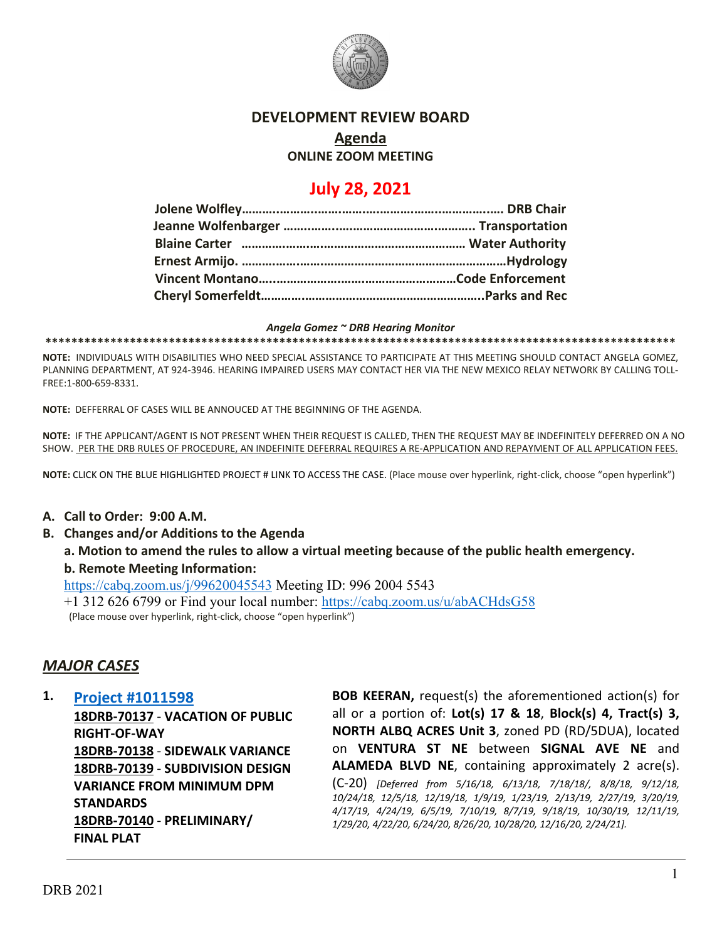

# **DEVELOPMENT REVIEW BOARD**

# **Agenda**

# **ONLINE ZOOM MEETING**

# **July 28, 2021**

#### *Angela Gomez ~ DRB Hearing Monitor*

**\*\*\*\*\*\*\*\*\*\*\*\*\*\*\*\*\*\*\*\*\*\*\*\*\*\*\*\*\*\*\*\*\*\*\*\*\*\*\*\*\*\*\*\*\*\*\*\*\*\*\*\*\*\*\*\*\*\*\*\*\*\*\*\*\*\*\*\*\*\*\*\*\*\*\*\*\*\*\*\*\*\*\*\*\*\*\*\*\*\*\*\*\*\*\*\*\***

**NOTE:** INDIVIDUALS WITH DISABILITIES WHO NEED SPECIAL ASSISTANCE TO PARTICIPATE AT THIS MEETING SHOULD CONTACT ANGELA GOMEZ, PLANNING DEPARTMENT, AT 924-3946. HEARING IMPAIRED USERS MAY CONTACT HER VIA THE NEW MEXICO RELAY NETWORK BY CALLING TOLL-FREE:1-800-659-8331.

**NOTE:** DEFFERRAL OF CASES WILL BE ANNOUCED AT THE BEGINNING OF THE AGENDA.

**NOTE:** IF THE APPLICANT/AGENT IS NOT PRESENT WHEN THEIR REQUEST IS CALLED, THEN THE REQUEST MAY BE INDEFINITELY DEFERRED ON A NO SHOW. PER THE DRB RULES OF PROCEDURE, AN INDEFINITE DEFERRAL REQUIRES A RE-APPLICATION AND REPAYMENT OF ALL APPLICATION FEES.

**NOTE:** CLICK ON THE BLUE HIGHLIGHTED PROJECT # LINK TO ACCESS THE CASE. (Place mouse over hyperlink, right-click, choose "open hyperlink")

### **A. Call to Order: 9:00 A.M.**

**B. Changes and/or Additions to the Agenda**

**a. Motion to amend the rules to allow a virtual meeting because of the public health emergency.**

# **b. Remote Meeting Information:**

<https://cabq.zoom.us/j/99620045543> Meeting ID: 996 2004 5543

+1 312 626 6799 or Find your local number:<https://cabq.zoom.us/u/abACHdsG58>(Place mouse over hyperlink, right-click, choose "open hyperlink")

# *MAJOR CASES*

### **1. [Project #1011598](http://data.cabq.gov/government/planning/DRB/1011598/1011598_DRB%20Submittals/)**

**18DRB-70137** - **VACATION OF PUBLIC RIGHT-OF-WAY 18DRB-70138** - **SIDEWALK VARIANCE 18DRB-70139** - **SUBDIVISION DESIGN VARIANCE FROM MINIMUM DPM STANDARDS 18DRB-70140** - **PRELIMINARY/ FINAL PLAT**

**BOB KEERAN,** request(s) the aforementioned action(s) for all or a portion of: **Lot(s) 17 & 18**, **Block(s) 4, Tract(s) 3, NORTH ALBQ ACRES Unit 3**, zoned PD (RD/5DUA), located on **VENTURA ST NE** between **SIGNAL AVE NE** and **ALAMEDA BLVD NE**, containing approximately 2 acre(s). (C-20) *[Deferred from 5/16/18, 6/13/18, 7/18/18/, 8/8/18, 9/12/18, 10/24/18, 12/5/18, 12/19/18, 1/9/19, 1/23/19, 2/13/19, 2/27/19, 3/20/19, 4/17/19, 4/24/19, 6/5/19, 7/10/19, 8/7/19, 9/18/19, 10/30/19, 12/11/19, 1/29/20, 4/22/20, 6/24/20, 8/26/20, 10/28/20, 12/16/20, 2/24/21].*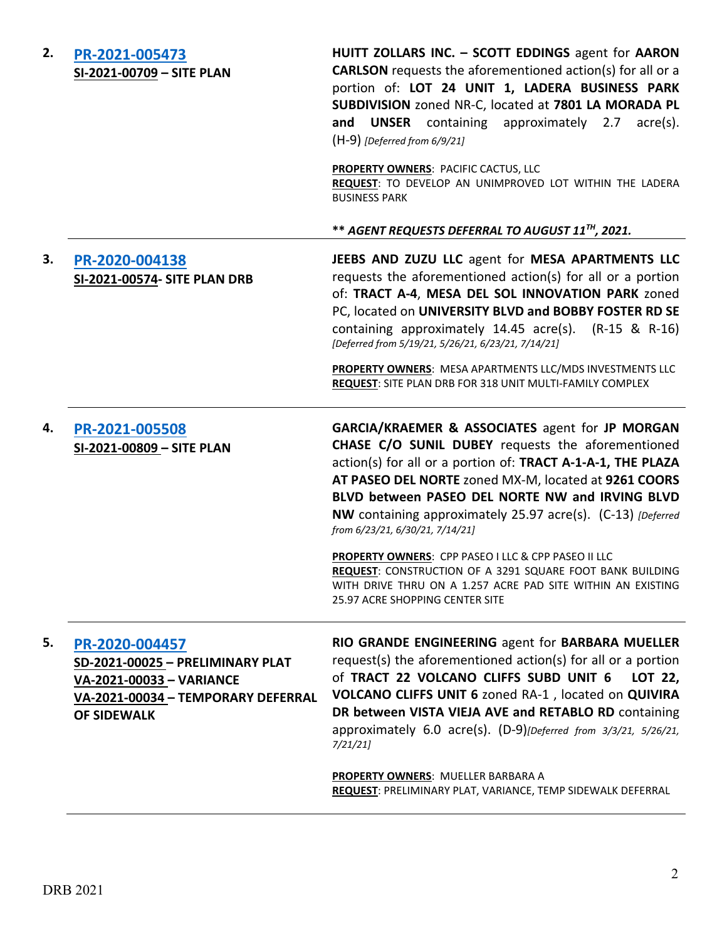| 2. | PR-2021-005473<br>SI-2021-00709 - SITE PLAN                                                                                                | HUITT ZOLLARS INC. - SCOTT EDDINGS agent for AARON<br><b>CARLSON</b> requests the aforementioned action(s) for all or a<br>portion of: LOT 24 UNIT 1, LADERA BUSINESS PARK<br>SUBDIVISION zoned NR-C, located at 7801 LA MORADA PL<br>and UNSER containing approximately 2.7 acre(s).<br>$(H-9)$ [Deferred from 6/9/21]                                                          |
|----|--------------------------------------------------------------------------------------------------------------------------------------------|----------------------------------------------------------------------------------------------------------------------------------------------------------------------------------------------------------------------------------------------------------------------------------------------------------------------------------------------------------------------------------|
|    |                                                                                                                                            | <b>PROPERTY OWNERS: PACIFIC CACTUS, LLC</b><br>REQUEST: TO DEVELOP AN UNIMPROVED LOT WITHIN THE LADERA<br><b>BUSINESS PARK</b>                                                                                                                                                                                                                                                   |
|    |                                                                                                                                            | ** AGENT REQUESTS DEFERRAL TO AUGUST 11TH, 2021.                                                                                                                                                                                                                                                                                                                                 |
| 3. | PR-2020-004138<br>SI-2021-00574- SITE PLAN DRB                                                                                             | JEEBS AND ZUZU LLC agent for MESA APARTMENTS LLC<br>requests the aforementioned action(s) for all or a portion<br>of: TRACT A-4, MESA DEL SOL INNOVATION PARK zoned<br>PC, located on UNIVERSITY BLVD and BOBBY FOSTER RD SE<br>containing approximately $14.45$ acre(s). (R-15 & R-16)<br>[Deferred from 5/19/21, 5/26/21, 6/23/21, 7/14/21]                                    |
|    |                                                                                                                                            | PROPERTY OWNERS: MESA APARTMENTS LLC/MDS INVESTMENTS LLC<br>REQUEST: SITE PLAN DRB FOR 318 UNIT MULTI-FAMILY COMPLEX                                                                                                                                                                                                                                                             |
| 4. | PR-2021-005508<br>SI-2021-00809 - SITE PLAN                                                                                                | GARCIA/KRAEMER & ASSOCIATES agent for JP MORGAN<br>CHASE C/O SUNIL DUBEY requests the aforementioned<br>action(s) for all or a portion of: TRACT A-1-A-1, THE PLAZA<br>AT PASEO DEL NORTE zoned MX-M, located at 9261 COORS<br>BLVD between PASEO DEL NORTE NW and IRVING BLVD<br>NW containing approximately 25.97 acre(s). (C-13) [Deferred<br>from 6/23/21, 6/30/21, 7/14/21] |
|    |                                                                                                                                            | PROPERTY OWNERS: CPP PASEO I LLC & CPP PASEO II LLC<br>REQUEST: CONSTRUCTION OF A 3291 SQUARE FOOT BANK BUILDING<br>WITH DRIVE THRU ON A 1.257 ACRE PAD SITE WITHIN AN EXISTING<br>25.97 ACRE SHOPPING CENTER SITE                                                                                                                                                               |
| 5. | PR-2020-004457<br>SD-2021-00025 - PRELIMINARY PLAT<br>VA-2021-00033 - VARIANCE<br>VA-2021-00034 - TEMPORARY DEFERRAL<br><b>OF SIDEWALK</b> | RIO GRANDE ENGINEERING agent for BARBARA MUELLER<br>request(s) the aforementioned action(s) for all or a portion<br>of TRACT 22 VOLCANO CLIFFS SUBD UNIT 6<br>LOT 22,<br>VOLCANO CLIFFS UNIT 6 zoned RA-1, located on QUIVIRA<br>DR between VISTA VIEJA AVE and RETABLO RD containing<br>approximately 6.0 acre(s). (D-9)[Deferred from 3/3/21, 5/26/21,<br>7/21/21              |
|    |                                                                                                                                            | <b>PROPERTY OWNERS: MUELLER BARBARA A</b><br>REQUEST: PRELIMINARY PLAT, VARIANCE, TEMP SIDEWALK DEFERRAL                                                                                                                                                                                                                                                                         |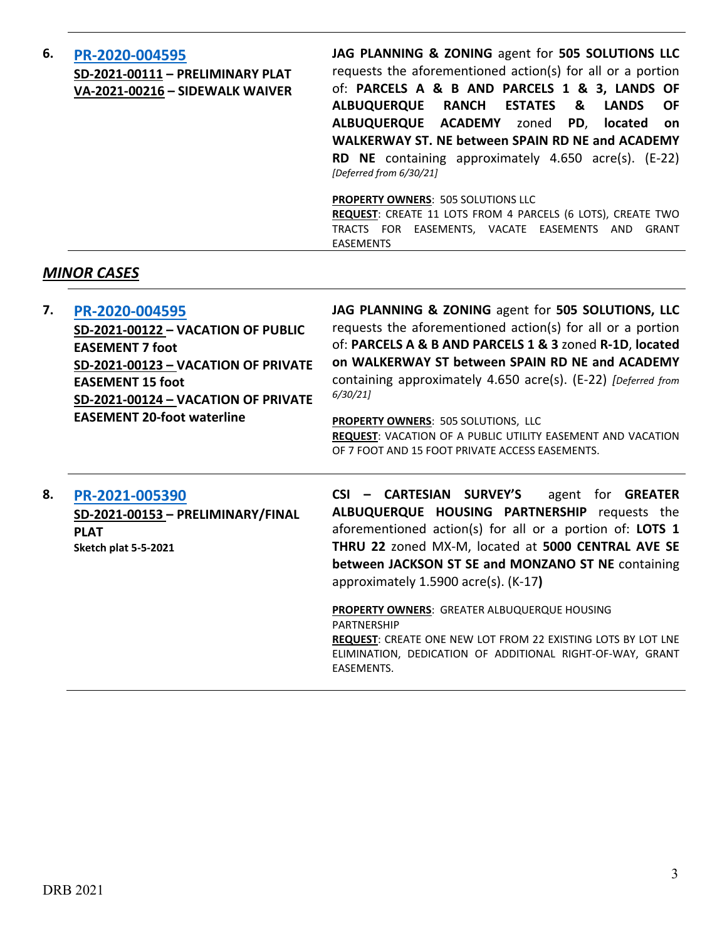| 6. | PR-2020-004595<br>SD-2021-00111 - PRELIMINARY PLAT<br>VA-2021-00216 - SIDEWALK WAIVER | JAG PLANNING & ZONING agent for 505 SOLUTIONS LLC<br>requests the aforementioned action(s) for all or a portion<br>of: PARCELS A & B AND PARCELS 1 & 3, LANDS OF<br><b>RANCH ESTATES &amp;</b><br><b>ALBUQUERQUE</b><br><b>LANDS</b><br><b>OF</b><br>ALBUQUERQUE ACADEMY zoned PD, located on<br><b>WALKERWAY ST. NE between SPAIN RD NE and ACADEMY</b><br>RD NE containing approximately 4.650 acre(s). (E-22)<br>[Deferred from 6/30/21] |
|----|---------------------------------------------------------------------------------------|---------------------------------------------------------------------------------------------------------------------------------------------------------------------------------------------------------------------------------------------------------------------------------------------------------------------------------------------------------------------------------------------------------------------------------------------|
|    |                                                                                       | <b>PROPERTY OWNERS: 505 SOLUTIONS LLC</b><br>REQUEST: CREATE 11 LOTS FROM 4 PARCELS (6 LOTS), CREATE TWO<br>TRACTS FOR EASEMENTS, VACATE EASEMENTS AND<br>GRANT<br><b>EASEMENTS</b>                                                                                                                                                                                                                                                         |

# *MINOR CASES*

| 7. | PR-2020-004595                      | JAG PLANNING & ZONING agent for 505 SOLUTIONS, LLC            |
|----|-------------------------------------|---------------------------------------------------------------|
|    | SD-2021-00122 - VACATION OF PUBLIC  | requests the aforementioned action(s) for all or a portion    |
|    | <b>EASEMENT 7 foot</b>              | of: PARCELS A & B AND PARCELS 1 & 3 zoned R-1D, located       |
|    | SD-2021-00123 - VACATION OF PRIVATE | on WALKERWAY ST between SPAIN RD NE and ACADEMY               |
|    | <b>EASEMENT 15 foot</b>             | containing approximately 4.650 acre(s). (E-22) [Deferred from |
|    | SD-2021-00124 - VACATION OF PRIVATE | 6/30/21                                                       |
|    | <b>EASEMENT 20-foot waterline</b>   | <b>PROPERTY OWNERS: 505 SOLUTIONS, LLC</b>                    |
|    |                                     | REQUEST: VACATION OF A PUBLIC UTILITY EASEMENT AND VACATION   |
|    |                                     | OF 7 FOOT AND 15 FOOT PRIVATE ACCESS EASEMENTS.               |

**8. [PR-2021-005390](http://data.cabq.gov/government/planning/DRB/PR-2021-005390/DRB%20Submittals/PR-2021-005390_July_28_2021%20(P&F)/DRB_app_final_PR-2021-005390_Rev.pdf) SD-2021-00153 – PRELIMINARY/FINAL PLAT Sketch plat 5-5-2021**

**CSI – CARTESIAN SURVEY'S** agent for **GREATER ALBUQUERQUE HOUSING PARTNERSHIP** requests the aforementioned action(s) for all or a portion of: **LOTS 1 THRU 22** zoned MX-M, located at **5000 CENTRAL AVE SE between JACKSON ST SE and MONZANO ST NE** containing approximately 1.5900 acre(s). (K-17**)**

**PROPERTY OWNERS**: GREATER ALBUQUERQUE HOUSING PARTNERSHIP **REQUEST**: CREATE ONE NEW LOT FROM 22 EXISTING LOTS BY LOT LNE ELIMINATION, DEDICATION OF ADDITIONAL RIGHT-OF-WAY, GRANT EASEMENTS.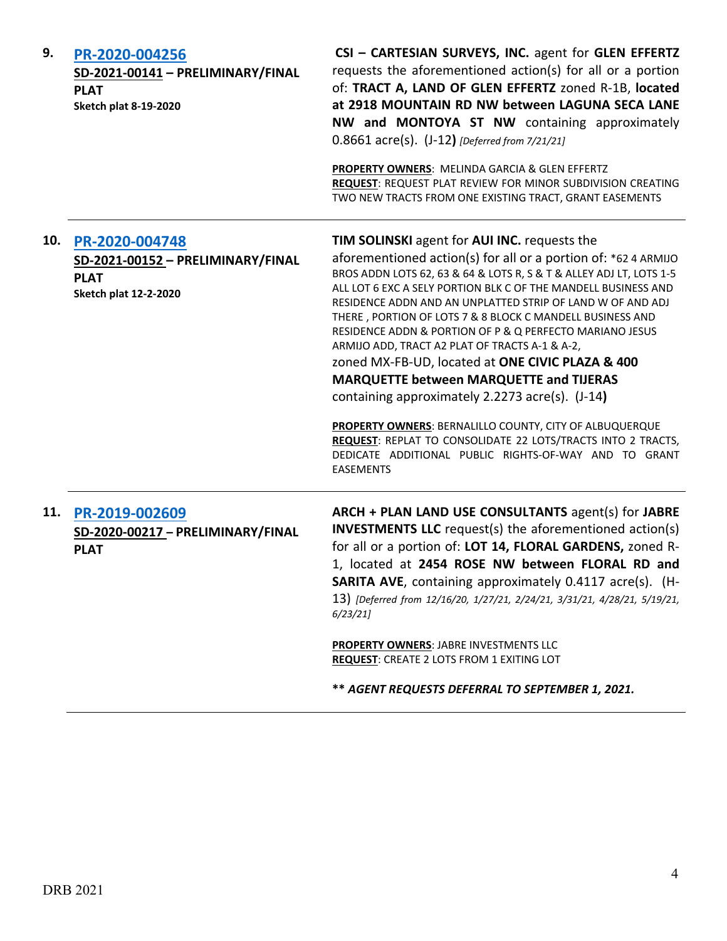| 9.  | PR-2020-004256<br>SD-2021-00141 - PRELIMINARY/FINAL<br><b>PLAT</b><br><b>Sketch plat 8-19-2020</b> | CSI - CARTESIAN SURVEYS, INC. agent for GLEN EFFERTZ<br>requests the aforementioned action(s) for all or a portion<br>of: TRACT A, LAND OF GLEN EFFERTZ zoned R-1B, located<br>at 2918 MOUNTAIN RD NW between LAGUNA SECA LANE<br>NW and MONTOYA ST NW containing approximately<br>0.8661 acre(s). (J-12) [Deferred from 7/21/21]<br>PROPERTY OWNERS: MELINDA GARCIA & GLEN EFFERTZ<br>REQUEST: REQUEST PLAT REVIEW FOR MINOR SUBDIVISION CREATING<br>TWO NEW TRACTS FROM ONE EXISTING TRACT, GRANT EASEMENTS                                                                                                                                                                                                                                                                                                                                                     |
|-----|----------------------------------------------------------------------------------------------------|-------------------------------------------------------------------------------------------------------------------------------------------------------------------------------------------------------------------------------------------------------------------------------------------------------------------------------------------------------------------------------------------------------------------------------------------------------------------------------------------------------------------------------------------------------------------------------------------------------------------------------------------------------------------------------------------------------------------------------------------------------------------------------------------------------------------------------------------------------------------|
| 10. | PR-2020-004748<br>SD-2021-00152 - PRELIMINARY/FINAL<br><b>PLAT</b><br><b>Sketch plat 12-2-2020</b> | TIM SOLINSKI agent for AUI INC. requests the<br>aforementioned action(s) for all or a portion of: *62 4 ARMIJO<br>BROS ADDN LOTS 62, 63 & 64 & LOTS R, S & T & ALLEY ADJ LT, LOTS 1-5<br>ALL LOT 6 EXC A SELY PORTION BLK C OF THE MANDELL BUSINESS AND<br>RESIDENCE ADDN AND AN UNPLATTED STRIP OF LAND W OF AND ADJ<br>THERE, PORTION OF LOTS 7 & 8 BLOCK C MANDELL BUSINESS AND<br>RESIDENCE ADDN & PORTION OF P & Q PERFECTO MARIANO JESUS<br>ARMIJO ADD, TRACT A2 PLAT OF TRACTS A-1 & A-2,<br>zoned MX-FB-UD, located at ONE CIVIC PLAZA & 400<br><b>MARQUETTE between MARQUETTE and TIJERAS</b><br>containing approximately 2.2273 acre(s). (J-14)<br>PROPERTY OWNERS: BERNALILLO COUNTY, CITY OF ALBUQUERQUE<br>REQUEST: REPLAT TO CONSOLIDATE 22 LOTS/TRACTS INTO 2 TRACTS,<br>DEDICATE ADDITIONAL PUBLIC RIGHTS-OF-WAY AND TO GRANT<br><b>EASEMENTS</b> |
|     | 11. PR-2019-002609<br>SD-2020-00217 - PRELIMINARY/FINAL<br><b>PLAT</b>                             | ARCH + PLAN LAND USE CONSULTANTS agent(s) for JABRE<br><b>INVESTMENTS LLC</b> request(s) the aforementioned action(s)<br>for all or a portion of: LOT 14, FLORAL GARDENS, zoned R-<br>1, located at 2454 ROSE NW between FLORAL RD and<br>SARITA AVE, containing approximately 0.4117 acre(s). (H-<br>13) [Deferred from 12/16/20, 1/27/21, 2/24/21, 3/31/21, 4/28/21, 5/19/21,<br>6/23/21<br>PROPERTY OWNERS: JABRE INVESTMENTS LLC<br><b>REQUEST: CREATE 2 LOTS FROM 1 EXITING LOT</b>                                                                                                                                                                                                                                                                                                                                                                          |

**\*\*** *AGENT REQUESTS DEFERRAL TO SEPTEMBER 1, 2021.*